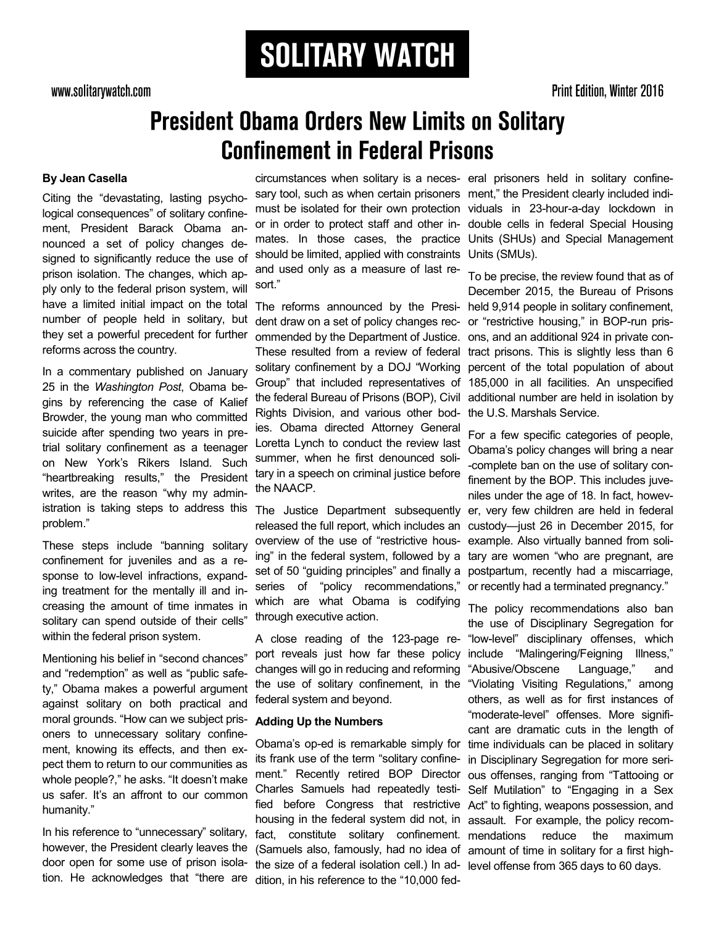# **President Obama Orders New Limits on Solitary Confinement in Federal Prisons**

#### **By Jean Casella**

Citing the "devastating, lasting psychological consequences" of solitary confinement, President Barack Obama announced a set of policy changes designed to significantly reduce the use of prison isolation. The changes, which apply only to the federal prison system, will have a limited initial impact on the total number of people held in solitary, but they set a powerful precedent for further reforms across the country.

In a commentary published on January 25 in the *Washington Post*, Obama begins by referencing the case of Kalief Browder, the young man who committed suicide after spending two years in pretrial solitary confinement as a teenager on New York's Rikers Island. Such "heartbreaking results," the President writes, are the reason "why my administration is taking steps to address this problem."

These steps include "banning solitary confinement for juveniles and as a response to low-level infractions, expanding treatment for the mentally ill and increasing the amount of time inmates in solitary can spend outside of their cells" within the federal prison system.

Mentioning his belief in "second chances" and "redemption" as well as "public safety," Obama makes a powerful argument against solitary on both practical and moral grounds. "How can we subject prisoners to unnecessary solitary confinement, knowing its effects, and then expect them to return to our communities as whole people?," he asks. "It doesn't make us safer. It's an affront to our common humanity."

In his reference to "unnecessary" solitary, however, the President clearly leaves the door open for some use of prison isolation. He acknowledges that "there are

circumstances when solitary is a neces-eral prisoners held in solitary confinesary tool, such as when certain prisoners ment," the President clearly included indimust be isolated for their own protection viduals in 23-hour-a-day lockdown in or in order to protect staff and other in-double cells in federal Special Housing mates. In those cases, the practice Units (SHUs) and Special Management should be limited, applied with constraints Units (SMUs). and used only as a measure of last resort."

dent draw on a set of policy changes rec-or "restrictive housing," in BOP-run prisommended by the Department of Justice. ons, and an additional 924 in private consolitary confinement by a DOJ "Working Group" that included representatives of the federal Bureau of Prisons (BOP), Civil Rights Division, and various other bodies. Obama directed Attorney General Loretta Lynch to conduct the review last summer, when he first denounced solitary in a speech on criminal justice before the NAACP.

The Justice Department subsequently er, very few children are held in federal released the full report, which includes an overview of the use of "restrictive housing" in the federal system, followed by a set of 50 "guiding principles" and finally a series of "policy recommendations," which are what Obama is codifying through executive action.

A close reading of the 123-page report reveals just how far these policy changes will go in reducing and reforming the use of solitary confinement, in the "Violating Visiting Regulations," among federal system and beyond.

### **Adding Up the Numbers**

Obama's op-ed is remarkable simply for its frank use of the term "solitary confinement." Recently retired BOP Director Charles Samuels had repeatedly testified before Congress that restrictive Act" to fighting, weapons possession, and housing in the federal system did not, in assault. For example, the policy recomfact, constitute solitary confinement. mendations reduce the maximum (Samuels also, famously, had no idea of amount of time in solitary for a first highthe size of a federal isolation cell.) In ad-level offense from 365 days to 60 days.dition, in his reference to the "10,000 fed-

The reforms announced by the Presi-held 9,914 people in solitary confinement, These resulted from a review of federal tract prisons. This is slightly less than 6 To be precise, the review found that as of December 2015, the Bureau of Prisons percent of the total population of about 185,000 in all facilities. An unspecified additional number are held in isolation by the U.S. Marshals Service.

> For a few specific categories of people, Obama's policy changes will bring a near -complete ban on the use of solitary confinement by the BOP. This includes juveniles under the age of 18. In fact, howevcustody—just 26 in December 2015, for example. Also virtually banned from solitary are women "who are pregnant, are postpartum, recently had a miscarriage, or recently had a terminated pregnancy."

> The policy recommendations also ban the use of Disciplinary Segregation for "low-level" disciplinary offenses, which include "Malingering/Feigning Illness," "Abusive/Obscene Language," and others, as well as for first instances of "moderate-level" offenses. More significant are dramatic cuts in the length of time individuals can be placed in solitary in Disciplinary Segregation for more serious offenses, ranging from "Tattooing or Self Mutilation" to "Engaging in a Sex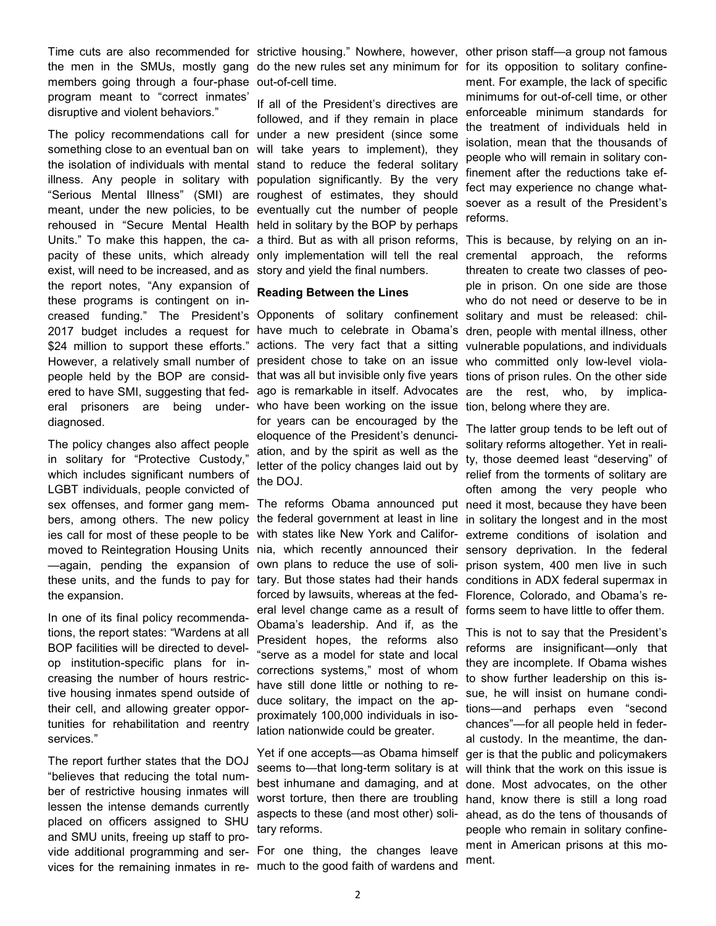members going through a four-phase out-of-cell time. program meant to "correct inmates' disruptive and violent behaviors."

something close to an eventual ban on will take years to implement), they the isolation of individuals with mental stand to reduce the federal solitary illness. Any people in solitary with population significantly. By the very "Serious Mental Illness" (SMI) are roughest of estimates, they should meant, under the new policies, to be eventually cut the number of people rehoused in "Secure Mental Health held in solitary by the BOP by perhaps Units." To make this happen, the ca-a third. But as with all prison reforms, pacity of these units, which already only implementation will tell the real exist, will need to be increased, and as story and yield the final numbers. the report notes, "Any expansion of these programs is contingent on increased funding." The President's 2017 budget includes a request for \$24 million to support these efforts." However, a relatively small number of people held by the BOP are considered to have SMI, suggesting that federal prisoners are being underdiagnosed.

The policy changes also affect people in solitary for "Protective Custody," which includes significant numbers of LGBT individuals, people convicted of sex offenses, and former gang members, among others. The new policy ies call for most of these people to be moved to Reintegration Housing Units —again, pending the expansion of these units, and the funds to pay for the expansion.

In one of its final policy recommendations, the report states: "Wardens at all BOP facilities will be directed to develop institution-specific plans for increasing the number of hours restrictive housing inmates spend outside of their cell, and allowing greater opportunities for rehabilitation and reentry services."

The report further states that the DOJ "believes that reducing the total number of restrictive housing inmates will lessen the intense demands currently placed on officers assigned to SHU and SMU units, freeing up staff to provide additional programming and ser-For one thing, the changes leave vices for the remaining inmates in re-much to the good faith of wardens and

The policy recommendations call for under a new president (since some If all of the President's directives are followed, and if they remain in place

### **Reading Between the Lines**

Opponents of solitary confinement have much to celebrate in Obama's actions. The very fact that a sitting president chose to take on an issue that was all but invisible only five years ago is remarkable in itself. Advocates who have been working on the issue for years can be encouraged by the eloquence of the President's denunciation, and by the spirit as well as the letter of the policy changes laid out by the DOJ.

The reforms Obama announced put the federal government at least in line with states like New York and California, which recently announced their own plans to reduce the use of solitary. But those states had their hands forced by lawsuits, whereas at the federal level change came as a result of Obama's leadership. And if, as the President hopes, the reforms also "serve as a model for state and local corrections systems," most of whom have still done little or nothing to reduce solitary, the impact on the approximately 100,000 individuals in isolation nationwide could be greater.

Yet if one accepts—as Obama himself seems to—that long-term solitary is at best inhumane and damaging, and at worst torture, then there are troubling aspects to these (and most other) solitary reforms.

Time cuts are also recommended for strictive housing." Nowhere, however, other prison staff—a group not famous the men in the SMUs, mostly gang do the new rules set any minimum for for its opposition to solitary confinement. For example, the lack of specific minimums for out-of-cell time, or other enforceable minimum standards for the treatment of individuals held in isolation, mean that the thousands of people who will remain in solitary confinement after the reductions take effect may experience no change whatsoever as a result of the President's reforms.

> This is because, by relying on an incremental approach, the reforms threaten to create two classes of people in prison. On one side are those who do not need or deserve to be in solitary and must be released: children, people with mental illness, other vulnerable populations, and individuals who committed only low-level violations of prison rules. On the other side are the rest, who, by implication, belong where they are.

> The latter group tends to be left out of solitary reforms altogether. Yet in reality, those deemed least "deserving" of relief from the torments of solitary are often among the very people who need it most, because they have been in solitary the longest and in the most extreme conditions of isolation and sensory deprivation. In the federal prison system, 400 men live in such conditions in ADX federal supermax in Florence, Colorado, and Obama's reforms seem to have little to offer them.

> This is not to say that the President's reforms are insignificant—only that they are incomplete. If Obama wishes to show further leadership on this issue, he will insist on humane conditions—and perhaps even "second chances"—for all people held in federal custody. In the meantime, the danger is that the public and policymakers will think that the work on this issue is done. Most advocates, on the other hand, know there is still a long road ahead, as do the tens of thousands of people who remain in solitary confinement in American prisons at this moment.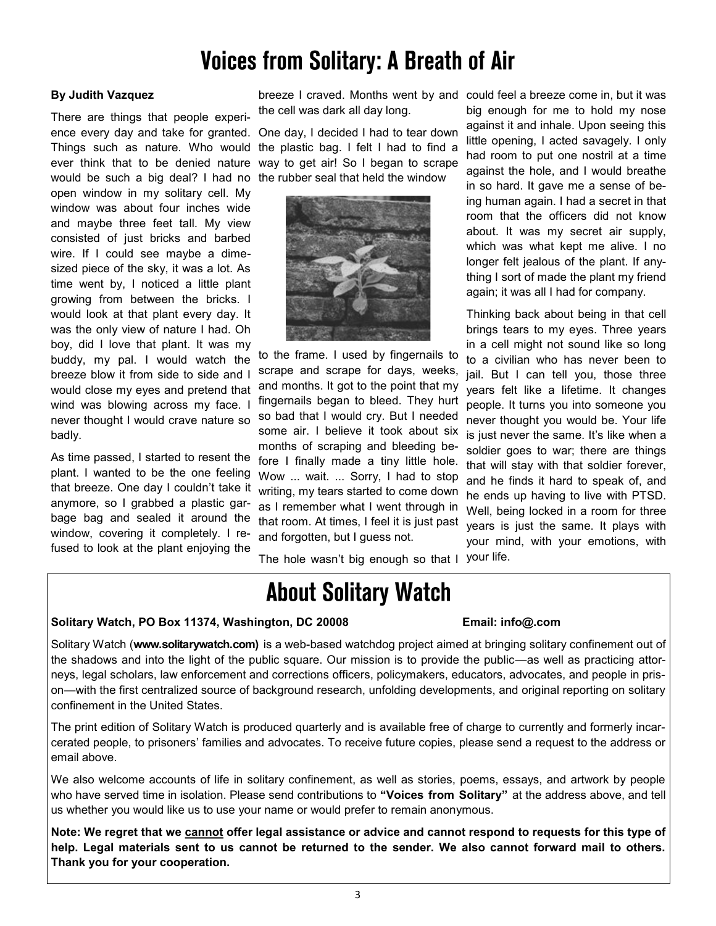# **Voices from Solitary: A Breath of Air**

#### **By Judith Vazquez**

There are things that people experience every day and take for granted. One day, I decided I had to tear down Things such as nature. Who would the plastic bag. I felt I had to find a ever think that to be denied nature way to get air! So I began to scrape would be such a big deal? I had no the rubber seal that held the window open window in my solitary cell. My

window was about four inches wide and maybe three feet tall. My view consisted of just bricks and barbed wire. If I could see maybe a dimesized piece of the sky, it was a lot. As time went by, I noticed a little plant growing from between the bricks. I would look at that plant every day. It was the only view of nature I had. Oh boy, did I love that plant. It was my buddy, my pal. I would watch the breeze blow it from side to side and I would close my eyes and pretend that wind was blowing across my face. I never thought I would crave nature so badly.

As time passed, I started to resent the plant. I wanted to be the one feeling that breeze. One day I couldn't take it anymore, so I grabbed a plastic garbage bag and sealed it around the window, covering it completely. I refused to look at the plant enjoying the

breeze I craved. Months went by and could feel a breeze come in, but it was the cell was dark all day long.



to the frame. I used by fingernails to scrape and scrape for days, weeks, and months. It got to the point that my fingernails began to bleed. They hurt so bad that I would cry. But I needed some air. I believe it took about six months of scraping and bleeding before I finally made a tiny little hole. Wow ... wait. ... Sorry, I had to stop writing, my tears started to come down as I remember what I went through in that room. At times, I feel it is just past and forgotten, but I guess not.

big enough for me to hold my nose against it and inhale. Upon seeing this little opening, I acted savagely. I only had room to put one nostril at a time against the hole, and I would breathe in so hard. It gave me a sense of being human again. I had a secret in that room that the officers did not know about. It was my secret air supply, which was what kept me alive. I no longer felt jealous of the plant. If anything I sort of made the plant my friend again; it was all I had for company.

Thinking back about being in that cell brings tears to my eyes. Three years in a cell might not sound like so long to a civilian who has never been to jail. But I can tell you, those three years felt like a lifetime. It changes people. It turns you into someone you never thought you would be. Your life is just never the same. It's like when a soldier goes to war; there are things that will stay with that soldier forever, and he finds it hard to speak of, and he ends up having to live with PTSD. Well, being locked in a room for three years is just the same. It plays with your mind, with your emotions, with

The hole wasn't big enough so that I your life.

## **About Solitary Watch**

### **Solitary Watch, PO Box 11374, Washington, DC 20008 Email: info@.com**

Solitary Watch (**www.solitarywatch.com)** is a web-based watchdog project aimed at bringing solitary confinement out of the shadows and into the light of the public square. Our mission is to provide the public—as well as practicing attorneys, legal scholars, law enforcement and corrections officers, policymakers, educators, advocates, and people in prison—with the first centralized source of background research, unfolding developments, and original reporting on solitary confinement in the United States.

The print edition of Solitary Watch is produced quarterly and is available free of charge to currently and formerly incarcerated people, to prisoners' families and advocates. To receive future copies, please send a request to the address or email above.

We also welcome accounts of life in solitary confinement, as well as stories, poems, essays, and artwork by people who have served time in isolation. Please send contributions to **"Voices from Solitary"** at the address above, and tell us whether you would like us to use your name or would prefer to remain anonymous.

**Note: We regret that we cannot offer legal assistance or advice and cannot respond to requests for this type of help. Legal materials sent to us cannot be returned to the sender. We also cannot forward mail to others. Thank you for your cooperation.**